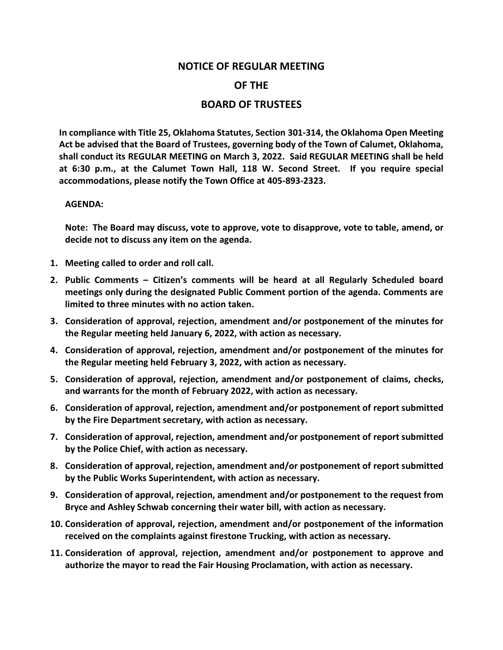## **NOTICE OF REGULAR MEETING OF THE BOARD OF TRUSTEES**

**In compliance with Title 25, Oklahoma Statutes, Section 301-314, the Oklahoma Open Meeting Act be advised that the Board of Trustees, governing body of the Town of Calumet, Oklahoma, shall conduct its REGULAR MEETING on March 3, 2022. Said REGULAR MEETING shall be held at 6:30 p.m., at the Calumet Town Hall, 118 W. Second Street. If you require special accommodations, please notify the Town Office at 405-893-2323.**

## **AGENDA:**

**Note: The Board may discuss, vote to approve, vote to disapprove, vote to table, amend, or decide not to discuss any item on the agenda.**

- **1. Meeting called to order and roll call.**
- **2. Public Comments – Citizen's comments will be heard at all Regularly Scheduled board meetings only during the designated Public Comment portion of the agenda. Comments are limited to three minutes with no action taken.**
- **3. Consideration of approval, rejection, amendment and/or postponement of the minutes for the Regular meeting held January 6, 2022, with action as necessary.**
- **4. Consideration of approval, rejection, amendment and/or postponement of the minutes for the Regular meeting held February 3, 2022, with action as necessary.**
- **5. Consideration of approval, rejection, amendment and/or postponement of claims, checks, and warrants for the month of February 2022, with action as necessary.**
- **6. Consideration of approval, rejection, amendment and/or postponement of report submitted by the Fire Department secretary, with action as necessary.**
- **7. Consideration of approval, rejection, amendment and/or postponement of report submitted by the Police Chief, with action as necessary.**
- **8. Consideration of approval, rejection, amendment and/or postponement of report submitted by the Public Works Superintendent, with action as necessary.**
- **9. Consideration of approval, rejection, amendment and/or postponement to the request from Bryce and Ashley Schwab concerning their water bill, with action as necessary.**
- **10. Consideration of approval, rejection, amendment and/or postponement of the information received on the complaints against firestone Trucking, with action as necessary.**
- **11. Consideration of approval, rejection, amendment and/or postponement to approve and authorize the mayor to read the Fair Housing Proclamation, with action as necessary.**